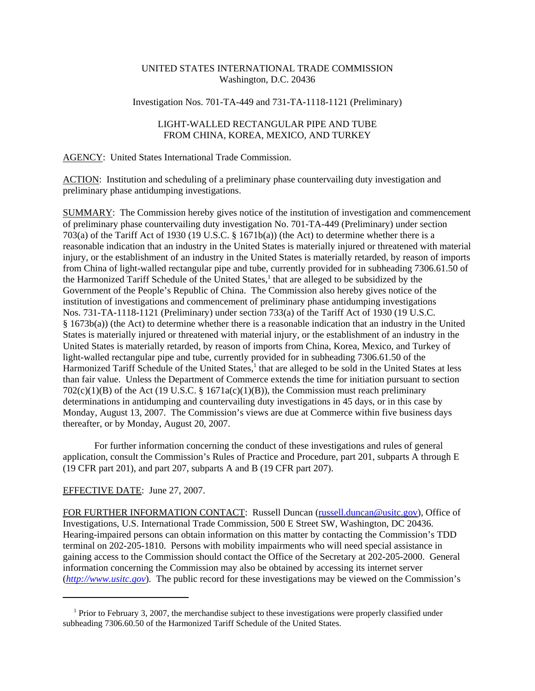# UNITED STATES INTERNATIONAL TRADE COMMISSION Washington, D.C. 20436

# Investigation Nos. 701-TA-449 and 731-TA-1118-1121 (Preliminary)

## LIGHT-WALLED RECTANGULAR PIPE AND TUBE FROM CHINA, KOREA, MEXICO, AND TURKEY

#### AGENCY: United States International Trade Commission.

ACTION: Institution and scheduling of a preliminary phase countervailing duty investigation and preliminary phase antidumping investigations.

SUMMARY: The Commission hereby gives notice of the institution of investigation and commencement of preliminary phase countervailing duty investigation No. 701-TA-449 (Preliminary) under section 703(a) of the Tariff Act of 1930 (19 U.S.C. § 1671b(a)) (the Act) to determine whether there is a reasonable indication that an industry in the United States is materially injured or threatened with material injury, or the establishment of an industry in the United States is materially retarded, by reason of imports from China of light-walled rectangular pipe and tube, currently provided for in subheading 7306.61.50 of the Harmonized Tariff Schedule of the United States,<sup>1</sup> that are alleged to be subsidized by the Government of the People's Republic of China. The Commission also hereby gives notice of the institution of investigations and commencement of preliminary phase antidumping investigations Nos. 731-TA-1118-1121 (Preliminary) under section 733(a) of the Tariff Act of 1930 (19 U.S.C. § 1673b(a)) (the Act) to determine whether there is a reasonable indication that an industry in the United States is materially injured or threatened with material injury, or the establishment of an industry in the United States is materially retarded, by reason of imports from China, Korea, Mexico, and Turkey of light-walled rectangular pipe and tube, currently provided for in subheading 7306.61.50 of the Harmonized Tariff Schedule of the United States,<sup>1</sup> that are alleged to be sold in the United States at less than fair value. Unless the Department of Commerce extends the time for initiation pursuant to section  $702(c)(1)(B)$  of the Act (19 U.S.C. § 1671a(c)(1)(B)), the Commission must reach preliminary determinations in antidumping and countervailing duty investigations in 45 days, or in this case by Monday, August 13, 2007. The Commission's views are due at Commerce within five business days thereafter, or by Monday, August 20, 2007.

For further information concerning the conduct of these investigations and rules of general application, consult the Commission's Rules of Practice and Procedure, part 201, subparts A through E (19 CFR part 201), and part 207, subparts A and B (19 CFR part 207).

## EFFECTIVE DATE: June 27, 2007.

FOR FURTHER INFORMATION CONTACT: Russell Duncan (russell.duncan@usitc.gov), Office of Investigations, U.S. International Trade Commission, 500 E Street SW, Washington, DC 20436. Hearing-impaired persons can obtain information on this matter by contacting the Commission's TDD terminal on 202-205-1810. Persons with mobility impairments who will need special assistance in gaining access to the Commission should contact the Office of the Secretary at 202-205-2000. General information concerning the Commission may also be obtained by accessing its internet server (*http://www.usitc.gov*). The public record for these investigations may be viewed on the Commission's

<sup>&</sup>lt;sup>1</sup> Prior to February 3, 2007, the merchandise subject to these investigations were properly classified under subheading 7306.60.50 of the Harmonized Tariff Schedule of the United States.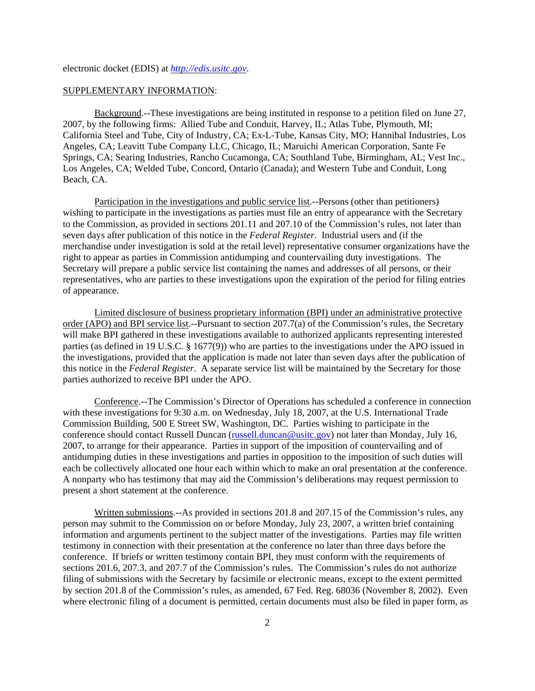electronic docket (EDIS) at *http://edis.usitc.gov*.

## SUPPLEMENTARY INFORMATION:

Background.--These investigations are being instituted in response to a petition filed on June 27, 2007, by the following firms: Allied Tube and Conduit, Harvey, IL; Atlas Tube, Plymouth, MI; California Steel and Tube, City of Industry, CA; Ex-L-Tube, Kansas City, MO; Hannibal Industries, Los Angeles, CA; Leavitt Tube Company LLC, Chicago, IL; Maruichi American Corporation, Sante Fe Springs, CA; Searing Industries, Rancho Cucamonga, CA; Southland Tube, Birmingham, AL; Vest Inc., Los Angeles, CA; Welded Tube, Concord, Ontario (Canada); and Western Tube and Conduit, Long Beach, CA.

Participation in the investigations and public service list.--Persons (other than petitioners) wishing to participate in the investigations as parties must file an entry of appearance with the Secretary to the Commission, as provided in sections 201.11 and 207.10 of the Commission's rules, not later than seven days after publication of this notice in the *Federal Register*. Industrial users and (if the merchandise under investigation is sold at the retail level) representative consumer organizations have the right to appear as parties in Commission antidumping and countervailing duty investigations. The Secretary will prepare a public service list containing the names and addresses of all persons, or their representatives, who are parties to these investigations upon the expiration of the period for filing entries of appearance.

Limited disclosure of business proprietary information (BPI) under an administrative protective order (APO) and BPI service list.--Pursuant to section 207.7(a) of the Commission's rules, the Secretary will make BPI gathered in these investigations available to authorized applicants representing interested parties (as defined in 19 U.S.C. § 1677(9)) who are parties to the investigations under the APO issued in the investigations, provided that the application is made not later than seven days after the publication of this notice in the *Federal Register*. A separate service list will be maintained by the Secretary for those parties authorized to receive BPI under the APO.

Conference.--The Commission's Director of Operations has scheduled a conference in connection with these investigations for 9:30 a.m. on Wednesday, July 18, 2007, at the U.S. International Trade Commission Building, 500 E Street SW, Washington, DC. Parties wishing to participate in the conference should contact Russell Duncan (russell.duncan@usitc.gov) not later than Monday, July 16, 2007, to arrange for their appearance. Parties in support of the imposition of countervailing and of antidumping duties in these investigations and parties in opposition to the imposition of such duties will each be collectively allocated one hour each within which to make an oral presentation at the conference. A nonparty who has testimony that may aid the Commission's deliberations may request permission to present a short statement at the conference.

Written submissions.--As provided in sections 201.8 and 207.15 of the Commission's rules, any person may submit to the Commission on or before Monday, July 23, 2007, a written brief containing information and arguments pertinent to the subject matter of the investigations. Parties may file written testimony in connection with their presentation at the conference no later than three days before the conference. If briefs or written testimony contain BPI, they must conform with the requirements of sections 201.6, 207.3, and 207.7 of the Commission's rules. The Commission's rules do not authorize filing of submissions with the Secretary by facsimile or electronic means, except to the extent permitted by section 201.8 of the Commission's rules, as amended, 67 Fed. Reg. 68036 (November 8, 2002). Even where electronic filing of a document is permitted, certain documents must also be filed in paper form, as